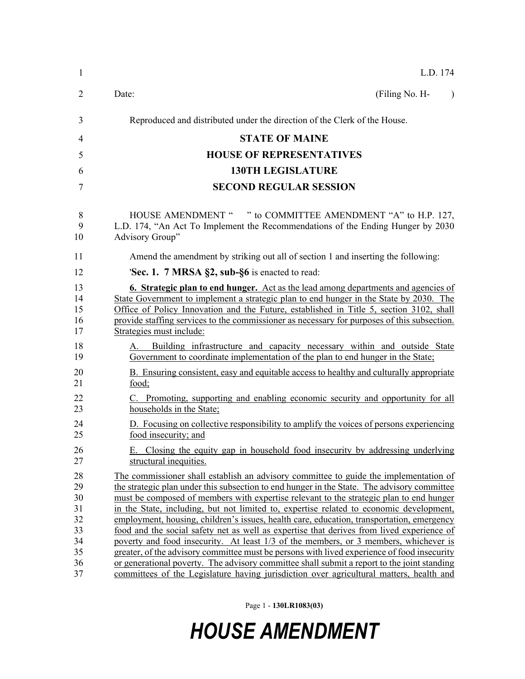Page 1 - **130LR1083(03)**

## *HOUSE AMENDMENT*